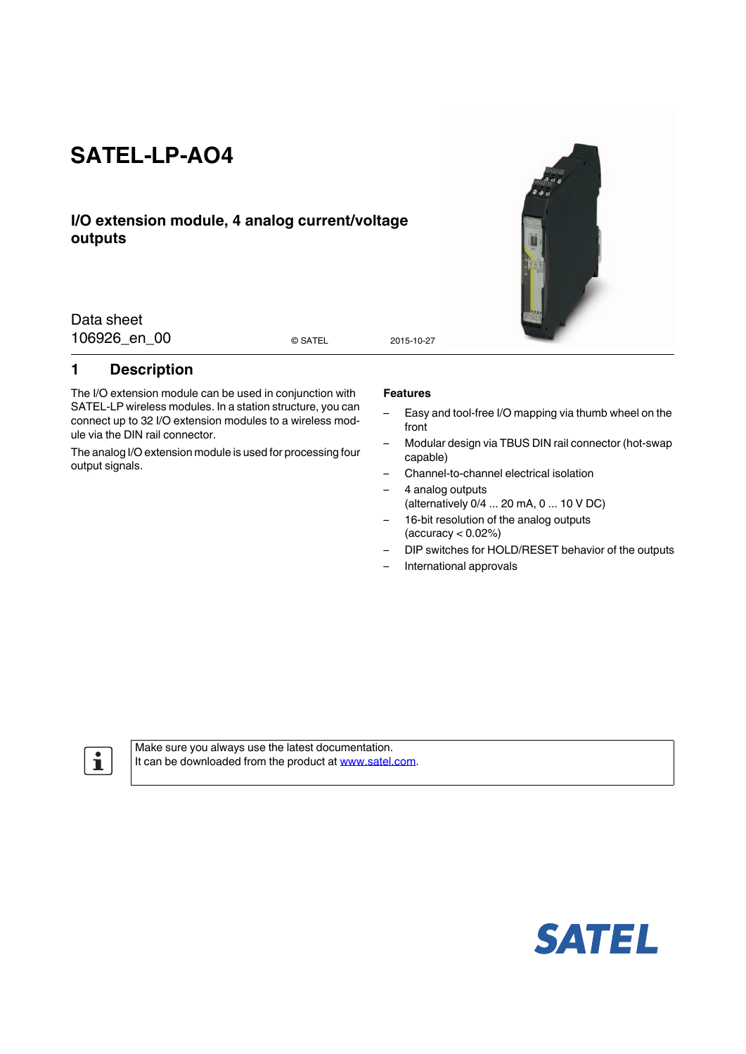# **SATEL-LP-AO4**

## **I/O extension module, 4 analog current/voltage outputs**

Data sheet 106926 en 00 esatel 2015-10-27

© SATEL

## <span id="page-0-0"></span>**1 Description**

The I/O extension module can be used in conjunction with SATEL-LP wireless modules. In a station structure, you can connect up to 32 I/O extension modules to a wireless module via the DIN rail connector.

The analog I/O extension module is used for processing four output signals.

#### **Features**

- Easy and tool-free I/O mapping via thumb wheel on the front
- Modular design via TBUS DIN rail connector (hot-swap capable)
- Channel-to-channel electrical isolation
- 4 analog outputs (alternatively 0/4 ... 20 mA, 0 ... 10 V DC)
- 16-bit resolution of the analog outputs  $(accuracy < 0.02%)$
- DIP switches for HOLD/RESET behavior of the outputs
- International approvals

 $\mathbf{i}$ 

Make sure you always use the latest documentation. It can be downloaded from the product at www.satel.com.



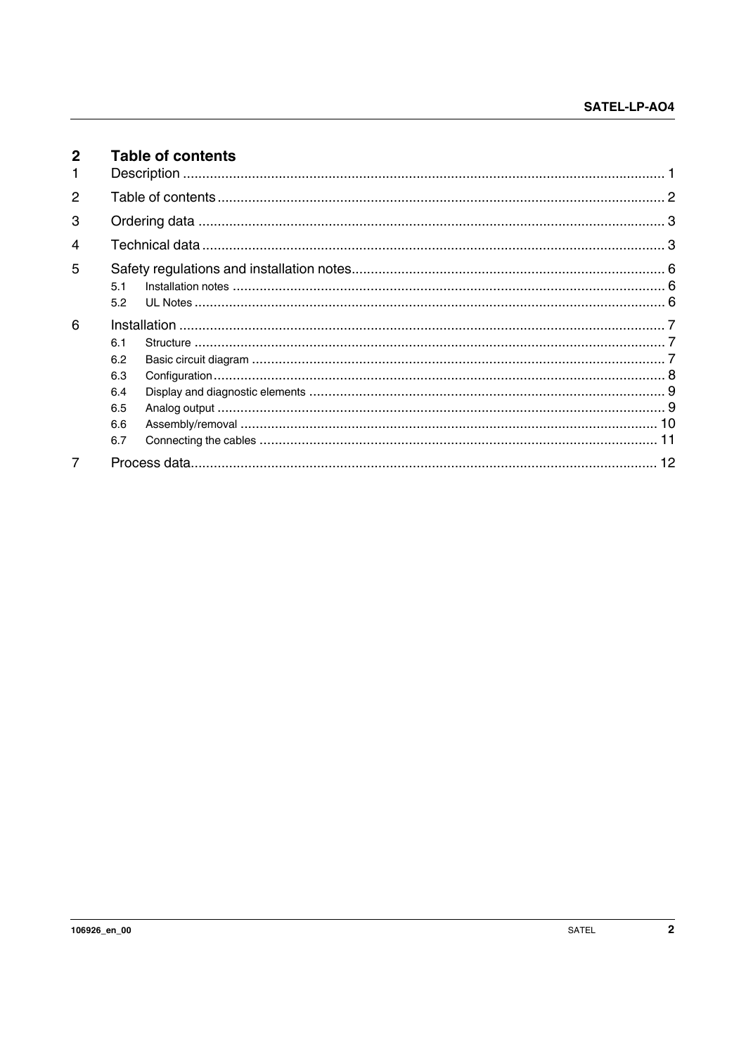<span id="page-1-0"></span>

| $\mathbf{2}$  | <b>Table of contents</b>                      |  |
|---------------|-----------------------------------------------|--|
| $\mathcal{P}$ |                                               |  |
| 3             |                                               |  |
| 4             |                                               |  |
| 5             | 51<br>5.2                                     |  |
| 6             | 6.1<br>6.2<br>6.3<br>6.4<br>6.5<br>6.6<br>6.7 |  |
| 7             |                                               |  |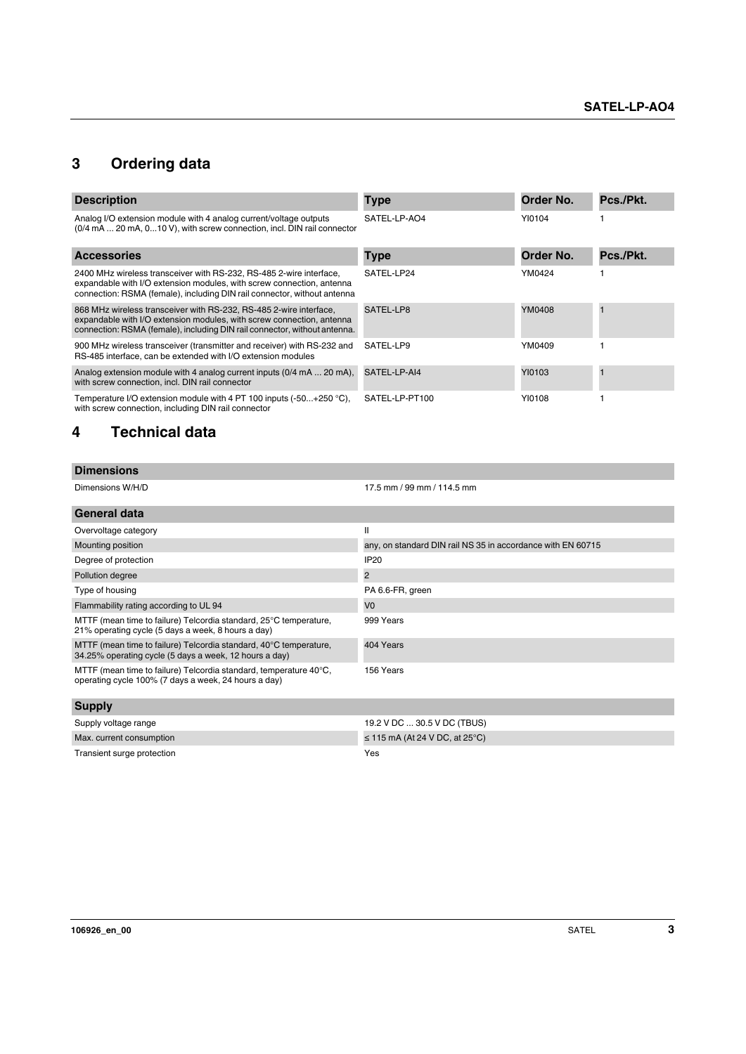## <span id="page-2-0"></span>**3 Ordering data**

| <b>Description</b>                                                                                                                                                                                                       | <b>Type</b>    | Order No. | Pcs./Pkt. |
|--------------------------------------------------------------------------------------------------------------------------------------------------------------------------------------------------------------------------|----------------|-----------|-----------|
| Analog I/O extension module with 4 analog current/voltage outputs<br>(0/4 mA  20 mA, 010 V), with screw connection, incl. DIN rail connector                                                                             | SATEL-LP-AO4   | YI0104    |           |
| <b>Accessories</b>                                                                                                                                                                                                       | <b>Type</b>    | Order No. | Pcs./Pkt. |
| 2400 MHz wireless transceiver with RS-232, RS-485 2-wire interface,<br>expandable with I/O extension modules, with screw connection, antenna<br>connection: RSMA (female), including DIN rail connector, without antenna | SATEL-LP24     | YM0424    |           |
| 868 MHz wireless transceiver with RS-232, RS-485 2-wire interface,<br>expandable with I/O extension modules, with screw connection, antenna<br>connection: RSMA (female), including DIN rail connector, without antenna. | SATEL-LP8      | YM0408    |           |
| 900 MHz wireless transceiver (transmitter and receiver) with RS-232 and<br>RS-485 interface, can be extended with I/O extension modules                                                                                  | SATEL-LP9      | YM0409    |           |
| Analog extension module with 4 analog current inputs (0/4 mA  20 mA).<br>with screw connection, incl. DIN rail connector                                                                                                 | SATEL-LP-AI4   | YI0103    |           |
| Temperature I/O extension module with 4 PT 100 inputs $(-50+250 \degree C)$ .<br>with screw connection, including DIN rail connector                                                                                     | SATEL-LP-PT100 | YI0108    |           |

## <span id="page-2-1"></span>**4 Technical data**

| <b>Dimensions</b> |                            |
|-------------------|----------------------------|
| Dimensions W/H/D  | 17.5 mm / 99 mm / 114.5 mm |

| General data                                                                                                                |                                                             |
|-----------------------------------------------------------------------------------------------------------------------------|-------------------------------------------------------------|
| Overvoltage category                                                                                                        | Ш                                                           |
| Mounting position                                                                                                           | any, on standard DIN rail NS 35 in accordance with EN 60715 |
| Degree of protection                                                                                                        | <b>IP20</b>                                                 |
| Pollution degree                                                                                                            | $\overline{2}$                                              |
| Type of housing                                                                                                             | PA 6.6-FR, green                                            |
| Flammability rating according to UL 94                                                                                      | V <sub>0</sub>                                              |
| MTTF (mean time to failure) Telcordia standard, 25°C temperature,<br>21% operating cycle (5 days a week, 8 hours a day)     | 999 Years                                                   |
| MTTF (mean time to failure) Telcordia standard, 40°C temperature,<br>34.25% operating cycle (5 days a week, 12 hours a day) | 404 Years                                                   |
| MTTF (mean time to failure) Telcordia standard, temperature 40°C,<br>operating cycle 100% (7 days a week, 24 hours a day)   | 156 Years                                                   |
| $C$                                                                                                                         |                                                             |

| <b>Supply</b>              |                                     |
|----------------------------|-------------------------------------|
| Supply voltage range       | 19.2 V DC  30.5 V DC (TBUS)         |
| Max. current consumption   | $\leq$ 115 mA (At 24 V DC, at 25°C) |
| Transient surge protection | Yes                                 |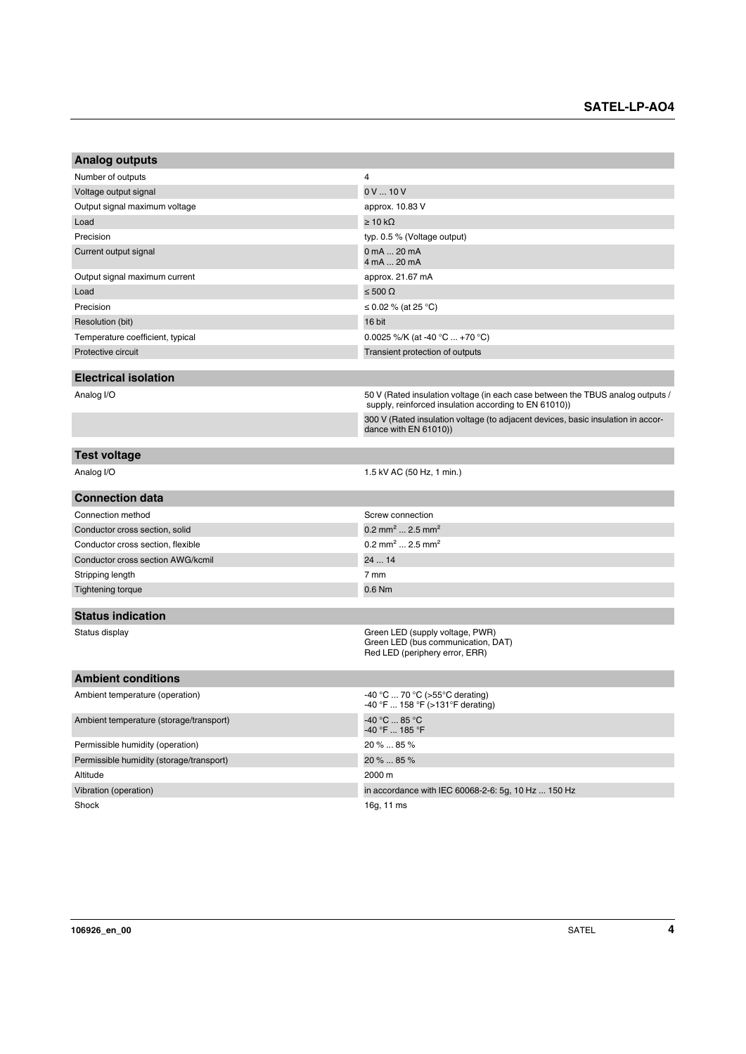| <b>Analog outputs</b>                    |                                                                                                                                         |
|------------------------------------------|-----------------------------------------------------------------------------------------------------------------------------------------|
| Number of outputs                        | 4                                                                                                                                       |
| Voltage output signal                    | 0V10V                                                                                                                                   |
| Output signal maximum voltage            | approx. 10.83 V                                                                                                                         |
| Load                                     | $\geq 10 \text{ k}\Omega$                                                                                                               |
| Precision                                | typ. 0.5 % (Voltage output)                                                                                                             |
| Current output signal                    | 0 mA  20 mA<br>4 mA  20 mA                                                                                                              |
| Output signal maximum current            | approx. 21.67 mA                                                                                                                        |
| Load                                     | ≤ 500 Ω                                                                                                                                 |
| Precision                                | ≤ 0.02 % (at 25 °C)                                                                                                                     |
| Resolution (bit)                         | 16 bit                                                                                                                                  |
| Temperature coefficient, typical         | 0.0025 %/K (at -40 $^{\circ}$ C  +70 $^{\circ}$ C)                                                                                      |
| Protective circuit                       | Transient protection of outputs                                                                                                         |
|                                          |                                                                                                                                         |
| <b>Electrical isolation</b>              |                                                                                                                                         |
| Analog I/O                               | 50 V (Rated insulation voltage (in each case between the TBUS analog outputs /<br>supply, reinforced insulation according to EN 61010)) |
|                                          | 300 V (Rated insulation voltage (to adjacent devices, basic insulation in accor-<br>dance with EN 61010))                               |
| <b>Test voltage</b>                      |                                                                                                                                         |
| Analog I/O                               | 1.5 kV AC (50 Hz, 1 min.)                                                                                                               |
| <b>Connection data</b>                   |                                                                                                                                         |
| Connection method                        | Screw connection                                                                                                                        |
| Conductor cross section, solid           | 0.2 mm <sup>2</sup> 2.5 mm <sup>2</sup>                                                                                                 |
| Conductor cross section, flexible        | 0.2 mm <sup>2</sup> 2.5 mm <sup>2</sup>                                                                                                 |
| Conductor cross section AWG/kcmil        | 24  14                                                                                                                                  |
| Stripping length                         | 7 mm                                                                                                                                    |
| <b>Tightening torque</b>                 | 0.6 Nm                                                                                                                                  |
| <b>Status indication</b>                 |                                                                                                                                         |
| Status display                           | Green LED (supply voltage, PWR)<br>Green LED (bus communication, DAT)<br>Red LED (periphery error, ERR)                                 |
| <b>Ambient conditions</b>                |                                                                                                                                         |
| Ambient temperature (operation)          | -40 °C  70 °C (>55 °C derating)<br>-40 °F  158 °F (>131 °F derating)                                                                    |
| Ambient temperature (storage/transport)  | -40 °C  85 °C<br>-40 °F  185 °F                                                                                                         |
| Permissible humidity (operation)         | 20 %  85 %                                                                                                                              |
| Permissible humidity (storage/transport) | 20 %  85 %                                                                                                                              |
| Altitude                                 | 2000 m                                                                                                                                  |
| Vibration (operation)                    | in accordance with IEC 60068-2-6: 5g, 10 Hz  150 Hz                                                                                     |
| Shock                                    | 16g, 11 ms                                                                                                                              |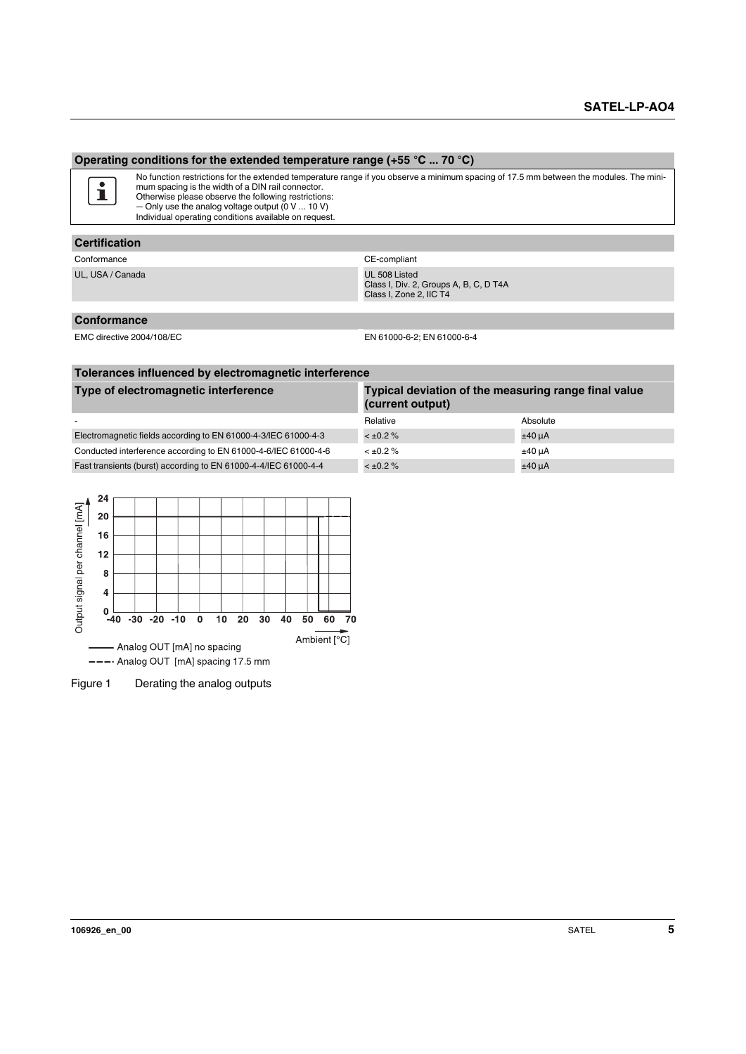#### **Operating conditions for the extended temperature range (+55 °C ... 70 °C)**



No function restrictions for the extended temperature range if you observe a minimum spacing of 17.5 mm between the modules. The minimum spacing is the width of a DIN rail connector. Otherwise please observe the following restrictions:

― Only use the analog voltage output (0 V ... 10 V) Individual operating conditions available on request.

#### **Certification**

Conformance Conformance CE-compliant

UL, USA / Canada UL 508 Listed Class I, Div. 2, Groups A, B, C, D T4A Class I, Zone 2, IIC T4

#### **Conformance**

EMC directive 2004/108/EC EN 61000-6-2; EN 61000-6-4

| Tolerances influenced by electromagnetic interference                                                            |                |             |  |  |
|------------------------------------------------------------------------------------------------------------------|----------------|-------------|--|--|
| Type of electromagnetic interference<br>Typical deviation of the measuring range final value<br>(current output) |                |             |  |  |
|                                                                                                                  | Relative       | Absolute    |  |  |
| Electromagnetic fields according to EN 61000-4-3/IEC 61000-4-3                                                   | $< \pm 0.2 \%$ | $±40 \mu A$ |  |  |
| Conducted interference according to EN 61000-4-6/IEC 61000-4-6                                                   | $< \pm 0.2 \%$ | $±40 \mu A$ |  |  |
| Fast transients (burst) according to EN 61000-4-4/IEC 61000-4-4                                                  | $< \pm 0.2 \%$ | $±40 \mu A$ |  |  |



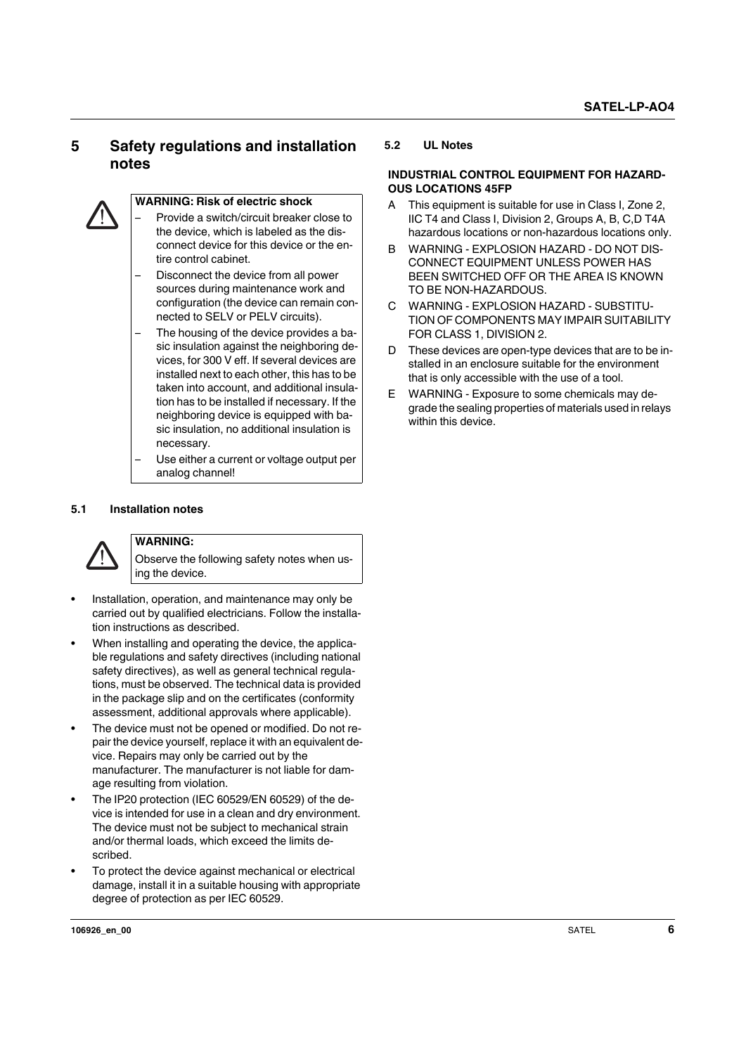## <span id="page-5-0"></span>**5 Safety regulations and installation notes**



#### **WARNING: Risk of electric shock**

- Provide a switch/circuit breaker close to the device, which is labeled as the disconnect device for this device or the entire control cabinet.
- Disconnect the device from all power sources during maintenance work and configuration (the device can remain connected to SELV or PELV circuits).
- The housing of the device provides a basic insulation against the neighboring devices, for 300 V eff. If several devices are installed next to each other, this has to be taken into account, and additional insulation has to be installed if necessary. If the neighboring device is equipped with basic insulation, no additional insulation is necessary.
- Use either a current or voltage output per analog channel!

#### <span id="page-5-1"></span>**5.1 Installation notes**



## **WARNING:**

Observe the following safety notes when using the device.

- **•** Installation, operation, and maintenance may only be carried out by qualified electricians. Follow the installation instructions as described.
- **•** When installing and operating the device, the applicable regulations and safety directives (including national safety directives), as well as general technical regulations, must be observed. The technical data is provided in the package slip and on the certificates (conformity assessment, additional approvals where applicable).
- **•** The device must not be opened or modified. Do not repair the device yourself, replace it with an equivalent device. Repairs may only be carried out by the manufacturer. The manufacturer is not liable for damage resulting from violation.
- **•** The IP20 protection (IEC 60529/EN 60529) of the device is intended for use in a clean and dry environment. The device must not be subject to mechanical strain and/or thermal loads, which exceed the limits described.
- **•** To protect the device against mechanical or electrical damage, install it in a suitable housing with appropriate degree of protection as per IEC 60529.

#### <span id="page-5-2"></span>**5.2 UL Notes**

#### **INDUSTRIAL CONTROL EQUIPMENT FOR HAZARD-OUS LOCATIONS 45FP**

- A This equipment is suitable for use in Class I, Zone 2, IIC T4 and Class I, Division 2, Groups A, B, C,D T4A hazardous locations or non-hazardous locations only.
- B WARNING EXPLOSION HAZARD DO NOT DIS-CONNECT EQUIPMENT UNLESS POWER HAS BEEN SWITCHED OFF OR THE AREA IS KNOWN TO BE NON-HAZARDOUS.
- C WARNING EXPLOSION HAZARD SUBSTITU-TION OF COMPONENTS MAY IMPAIR SUITABILITY FOR CLASS 1, DIVISION 2.
- D These devices are open-type devices that are to be installed in an enclosure suitable for the environment that is only accessible with the use of a tool.
- E WARNING Exposure to some chemicals may degrade the sealing properties of materials used in relays within this device.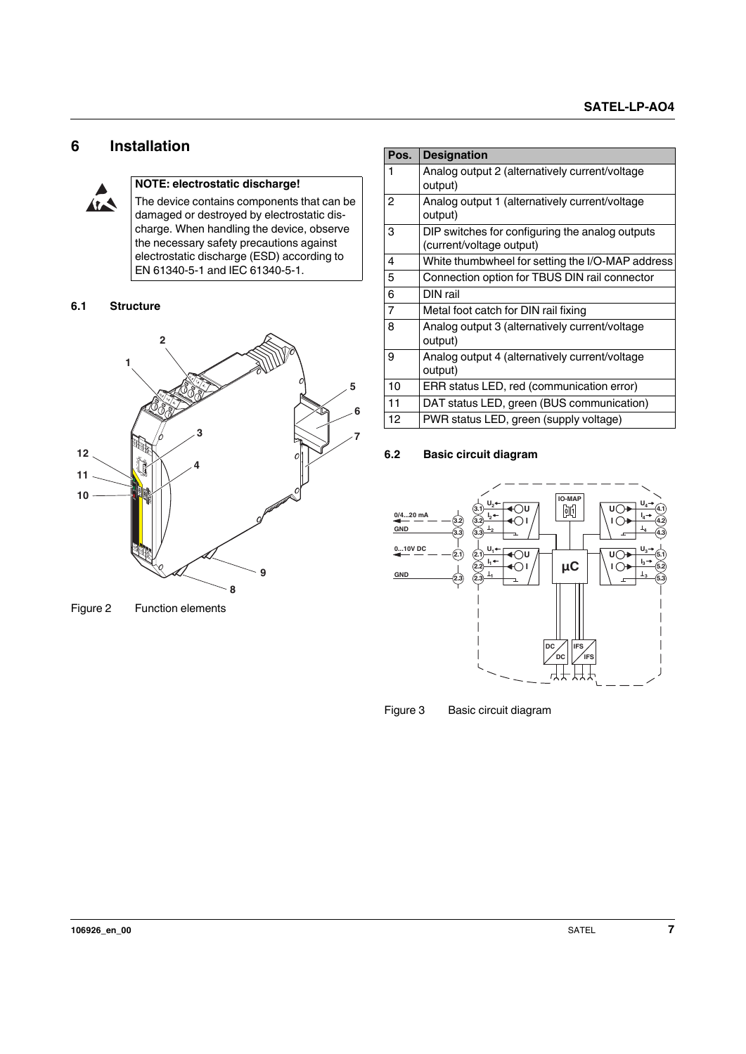## <span id="page-6-0"></span>**6 Installation**



#### **NOTE: electrostatic discharge!**

The device contains components that can be damaged or destroyed by electrostatic discharge. When handling the device, observe the necessary safety precautions against electrostatic discharge (ESD) according to EN 61340-5-1 and IEC 61340-5-1.

#### <span id="page-6-1"></span>**6.1 Structure**



Figure 2 Function elements

| Pos. | <b>Designation</b>                               |
|------|--------------------------------------------------|
| 1    | Analog output 2 (alternatively current/voltage   |
|      | output)                                          |
| 2    | Analog output 1 (alternatively current/voltage   |
|      | output)                                          |
| 3    | DIP switches for configuring the analog outputs  |
|      | (current/voltage output)                         |
| 4    | White thumbwheel for setting the I/O-MAP address |
| 5    | Connection option for TBUS DIN rail connector    |
| 6    | DIN rail                                         |
| 7    | Metal foot catch for DIN rail fixing             |
| 8    | Analog output 3 (alternatively current/voltage   |
|      | output)                                          |
| 9    | Analog output 4 (alternatively current/voltage   |
|      | output)                                          |
| 10   | ERR status LED, red (communication error)        |
| 11   | DAT status LED, green (BUS communication)        |
| 12   | PWR status LED, green (supply voltage)           |

#### <span id="page-6-2"></span>**6.2 Basic circuit diagram**



Figure 3 Basic circuit diagram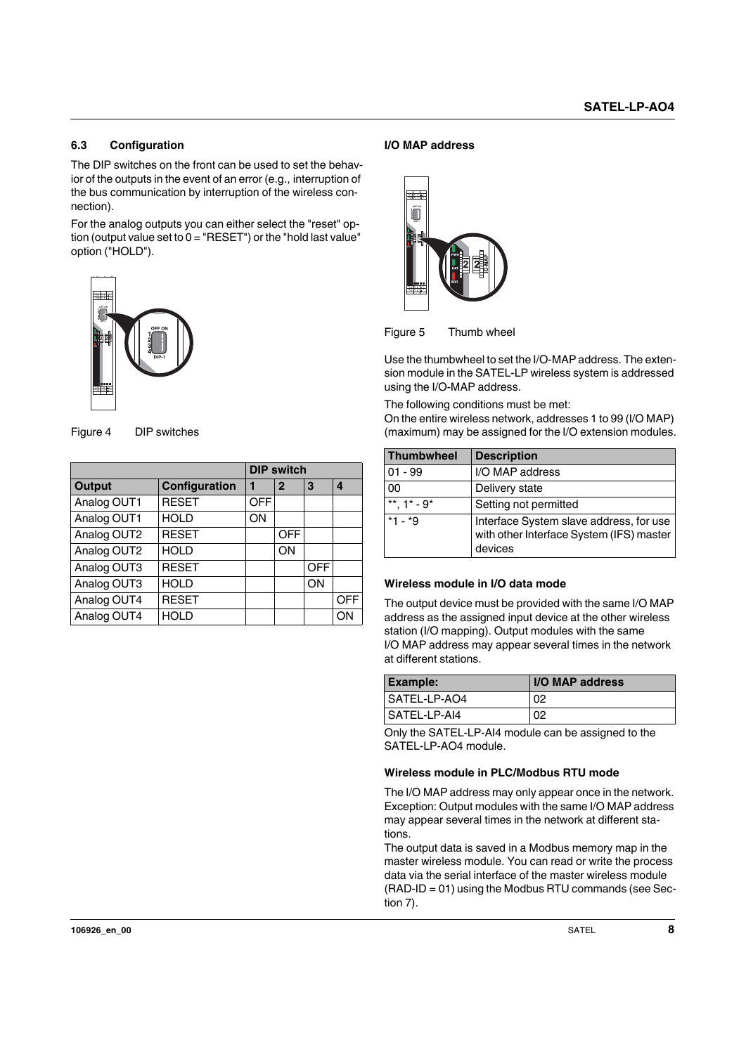#### <span id="page-7-0"></span>**6.3 Configuration**

The DIP switches on the front can be used to set the behavior of the outputs in the event of an error (e.g., interruption of the bus communication by interruption of the wireless connection).

For the analog outputs you can either select the "reset" option (output value set to  $0 = "RESET")$  or the "hold last value" option ("HOLD").





| OFF ON<br>OFF ON<br>$\frac{1}{3}$<br>陣<br>$\overline{DP-1}$<br>副社会<br>Figure 4<br>DIP switches |               |            |                   |            |     |
|------------------------------------------------------------------------------------------------|---------------|------------|-------------------|------------|-----|
|                                                                                                |               |            | <b>DIP switch</b> |            |     |
| <b>Output</b>                                                                                  | Configuration | 1          | $\overline{2}$    | 3          | 4   |
| Analog OUT1                                                                                    | <b>RESET</b>  | <b>OFF</b> |                   |            |     |
| Analog OUT1                                                                                    | <b>HOLD</b>   | ON         |                   |            |     |
| Analog OUT2                                                                                    | <b>RESET</b>  |            | <b>OFF</b>        |            |     |
| Analog OUT2                                                                                    | <b>HOLD</b>   |            | ON                |            |     |
| Analog OUT3                                                                                    | <b>RESET</b>  |            |                   | <b>OFF</b> |     |
| Analog OUT3                                                                                    | <b>HOLD</b>   |            |                   | ON         |     |
| Analog OUT4                                                                                    | <b>RESET</b>  |            |                   |            | OFF |
| Analog OUT4                                                                                    | <b>HOLD</b>   |            |                   |            | ON  |

#### **I/O MAP address**





| 部形                                                                                                                                                                                                                                                                                                     |                       |                                                                                                                                                                                                                                                  |  |
|--------------------------------------------------------------------------------------------------------------------------------------------------------------------------------------------------------------------------------------------------------------------------------------------------------|-----------------------|--------------------------------------------------------------------------------------------------------------------------------------------------------------------------------------------------------------------------------------------------|--|
| Figure 5                                                                                                                                                                                                                                                                                               | Thumb wheel           |                                                                                                                                                                                                                                                  |  |
| using the I/O-MAP address.<br>The following conditions must be met:                                                                                                                                                                                                                                    |                       | Use the thumbwheel to set the I/O-MAP address. The exten-<br>sion module in the SATEL-LP wireless system is addressed<br>On the entire wireless network, addresses 1 to 99 (I/O MAP)<br>(maximum) may be assigned for the I/O extension modules. |  |
| <b>Thumbwheel</b>                                                                                                                                                                                                                                                                                      | <b>Description</b>    |                                                                                                                                                                                                                                                  |  |
| $01 - 99$                                                                                                                                                                                                                                                                                              | I/O MAP address       |                                                                                                                                                                                                                                                  |  |
| 00                                                                                                                                                                                                                                                                                                     | Delivery state        |                                                                                                                                                                                                                                                  |  |
| **, $1^*$ - $9^*$                                                                                                                                                                                                                                                                                      | Setting not permitted |                                                                                                                                                                                                                                                  |  |
| $*1 - *9$                                                                                                                                                                                                                                                                                              | devices               | Interface System slave address, for use<br>with other Interface System (IFS) master                                                                                                                                                              |  |
| Wireless module in I/O data mode<br>The output device must be provided with the same I/O MAP<br>address as the assigned input device at the other wireless<br>station (I/O mapping). Output modules with the same<br>I/O MAP address may appear several times in the network<br>at different stations. |                       |                                                                                                                                                                                                                                                  |  |
| <b>Example:</b>                                                                                                                                                                                                                                                                                        |                       | I/O MAP address                                                                                                                                                                                                                                  |  |
| SATEL-LP-AO4                                                                                                                                                                                                                                                                                           |                       | 02                                                                                                                                                                                                                                               |  |
| SATEL-LP-AI4                                                                                                                                                                                                                                                                                           |                       |                                                                                                                                                                                                                                                  |  |

#### **Wireless module in I/O data mode**

| <b>Example:</b> | <b>I/O MAP address</b> |
|-----------------|------------------------|
| I SATEL-LP-AO4  | 02                     |
| l SATEL-LP-AI4  | 02                     |

Only the SATEL-LP-AI4 module can be assigned to the SATEL-LP-AO4 module.

#### **Wireless module in PLC/Modbus RTU mode**

The I/O MAP address may only appear once in the network. Exception: Output modules with the same I/O MAP address may appear several times in the network at different stations.

The output data is saved in a Modbus memory map in the master wireless module. You can read or write the process data via the serial interface of the master wireless module  $(RAD-ID = 01)$  using the Modbus RTU commands (see Section 7).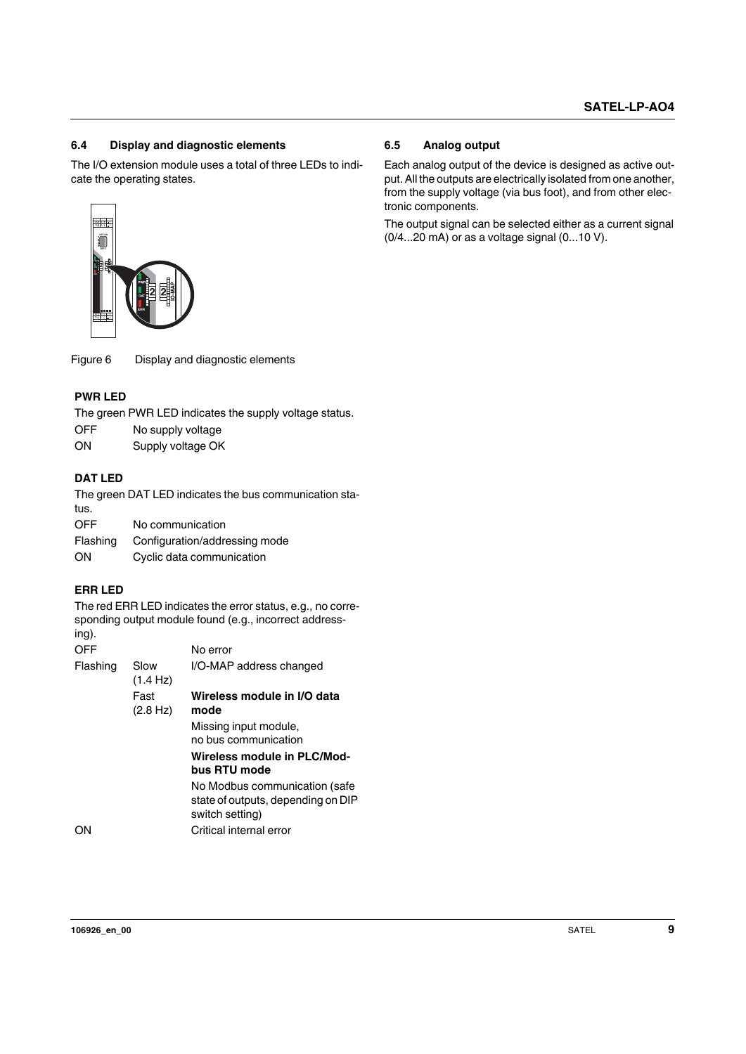#### <span id="page-8-0"></span>**6.4 Display and diagnostic elements**

The I/O extension module uses a total of three LEDs to indicate the operating states.



#### **PWR LED**

- OFF No supply voltage
- ON Supply voltage OK

#### **DAT LED**

| Flashing | Configuration/addressing mode |
|----------|-------------------------------|
| ◡        | 190 00111111011100.1011       |

## ON Cyclic data communication

#### **ERR LED**

| ere e                                 |                                        |                                                                                                                                                                                                                               |
|---------------------------------------|----------------------------------------|-------------------------------------------------------------------------------------------------------------------------------------------------------------------------------------------------------------------------------|
| Figure 6                              |                                        | Display and diagnostic elements                                                                                                                                                                                               |
| <b>PWR LED</b><br><b>OFF</b><br>ON    | No supply voltage<br>Supply voltage OK | The green PWR LED indicates the supply voltage status.                                                                                                                                                                        |
| <b>DAT LED</b><br>tus.                |                                        | The green DAT LED indicates the bus communication sta-                                                                                                                                                                        |
| OFF<br>Flashing<br>ON                 | No communication                       | Configuration/addressing mode<br>Cyclic data communication                                                                                                                                                                    |
| <b>ERR LED</b><br>ing).<br><b>OFF</b> |                                        | The red ERR LED indicates the error status, e.g., no corre-<br>sponding output module found (e.g., incorrect address-<br>No error                                                                                             |
| Flashing                              | Slow<br>(1.4 Hz)                       | I/O-MAP address changed                                                                                                                                                                                                       |
|                                       | Fast<br>(2.8 Hz)                       | Wireless module in I/O data<br>mode<br>Missing input module,<br>no bus communication<br>Wireless module in PLC/Mod-<br>bus RTU mode<br>No Modbus communication (safe<br>state of outputs, depending on DIP<br>switch setting) |
| ON                                    |                                        | Critical internal error                                                                                                                                                                                                       |

#### <span id="page-8-1"></span>**6.5 Analog output**

Each analog output of the device is designed as active output. All the outputs are electrically isolated from one another, from the supply voltage (via bus foot), and from other electronic components.

The output signal can be selected either as a current signal (0/4...20 mA) or as a voltage signal (0...10 V).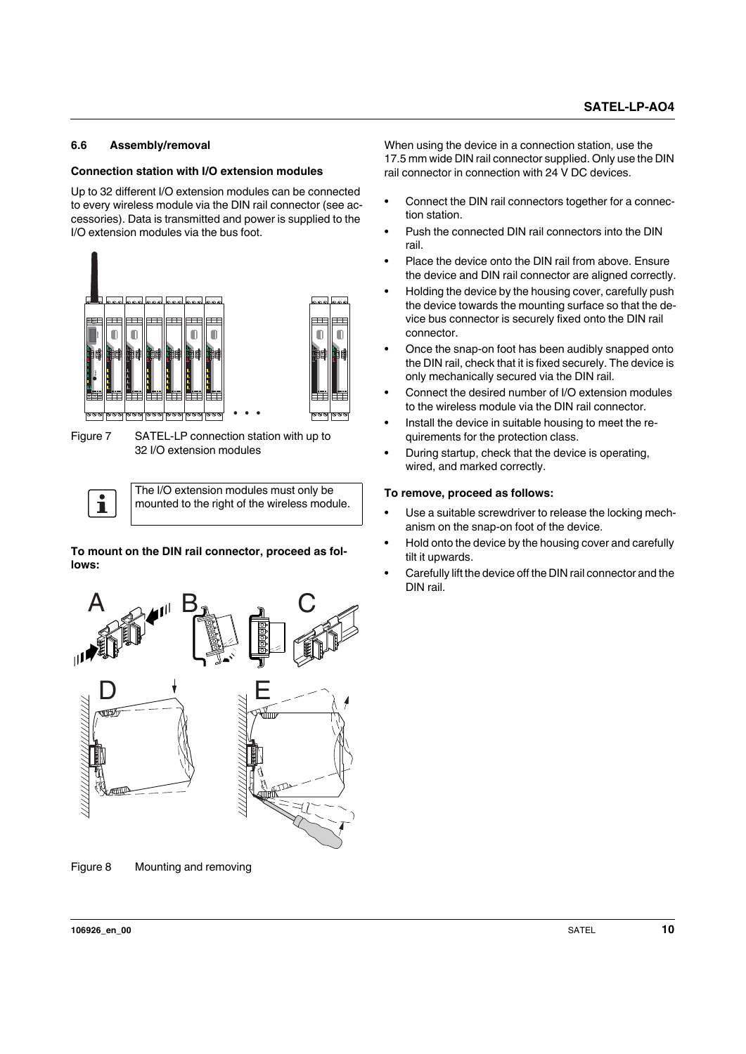#### <span id="page-9-0"></span>**6.6 Assembly/removal**

#### **Connection station with I/O extension modules**

Up to 32 different I/O extension modules can be connected to every wireless module via the DIN rail connector (see accessories). Data is transmitted and power is supplied to the I/O extension modules via the bus foot.



Figure 7 SATEL-LP connection station with up to 32 I/O extension modules

The I/O extension modules must only be  $\mathbf{i}$ mounted to the right of the wireless module.

**To mount on the DIN rail connector, proceed as follows:**



Figure 8 Mounting and removing

When using the device in a connection station, use the 17.5 mm wide DIN rail connector supplied. Only use the DIN rail connector in connection with 24 V DC devices.

- **•** Connect the DIN rail connectors together for a connection station.
- **•** Push the connected DIN rail connectors into the DIN rail.
- **•** Place the device onto the DIN rail from above. Ensure the device and DIN rail connector are aligned correctly.
- **•** Holding the device by the housing cover, carefully push the device towards the mounting surface so that the device bus connector is securely fixed onto the DIN rail connector.
- **•** Once the snap-on foot has been audibly snapped onto the DIN rail, check that it is fixed securely. The device is only mechanically secured via the DIN rail.
- **•** Connect the desired number of I/O extension modules to the wireless module via the DIN rail connector.
- **•** Install the device in suitable housing to meet the requirements for the protection class.
- **•** During startup, check that the device is operating, wired, and marked correctly.

#### **To remove, proceed as follows:**

- **•** Use a suitable screwdriver to release the locking mechanism on the snap-on foot of the device.
- **•** Hold onto the device by the housing cover and carefully tilt it upwards.
- **•** Carefully lift the device off the DIN rail connector and the DIN rail.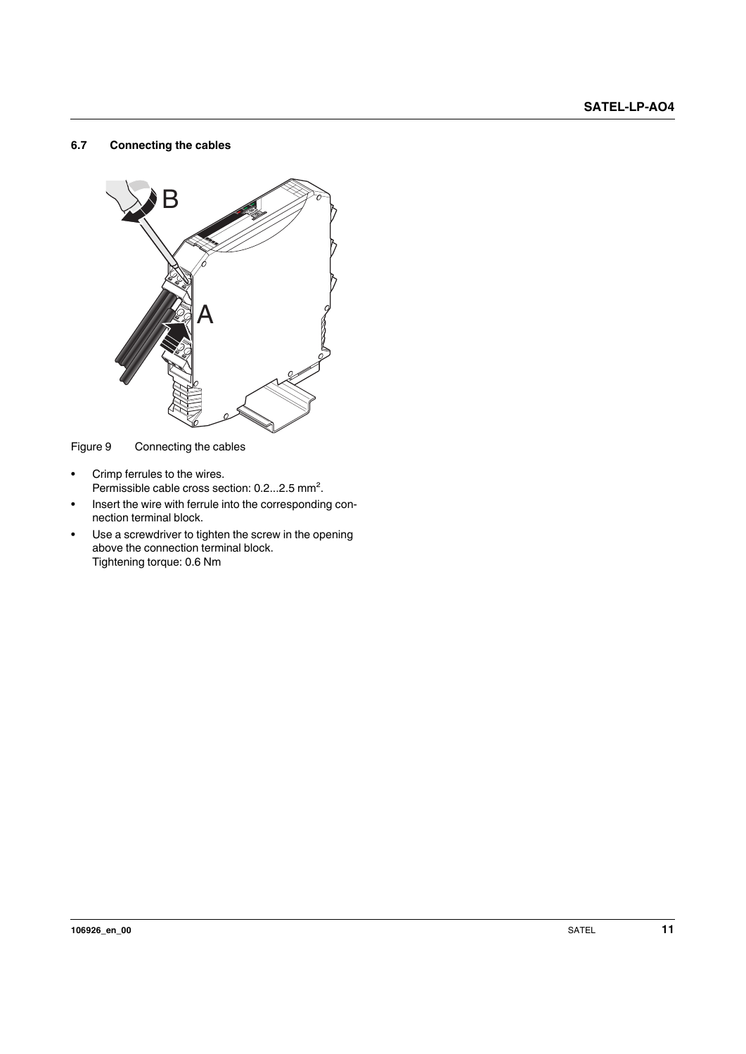#### <span id="page-10-0"></span>**6.7 Connecting the cables**



Figure 9 Connecting the cables

- **•** Crimp ferrules to the wires. Permissible cable cross section: 0.2...2.5 mm².
- **•** Insert the wire with ferrule into the corresponding connection terminal block.
- **•** Use a screwdriver to tighten the screw in the opening above the connection terminal block. Tightening torque: 0.6 Nm